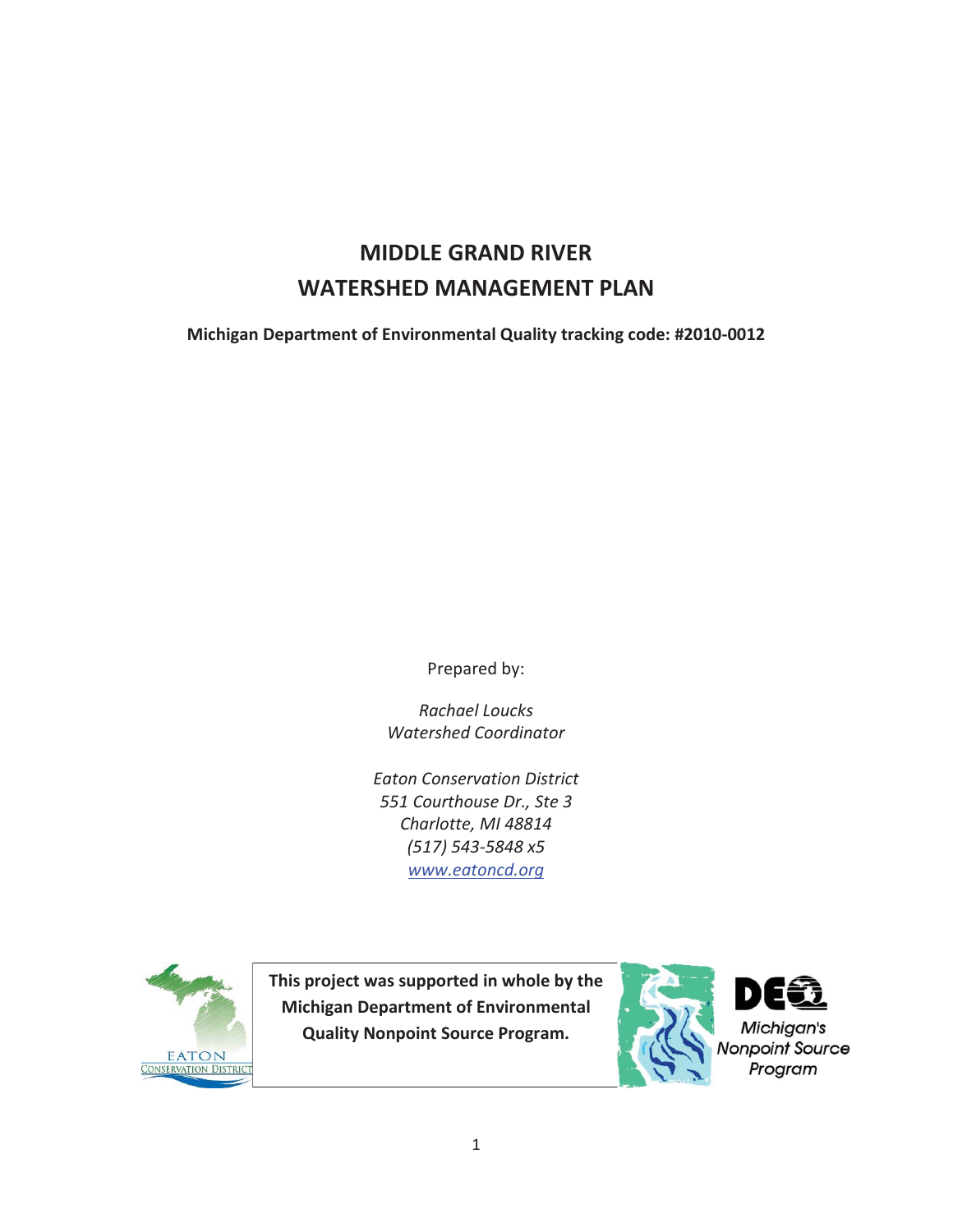# **MIDDLE GRAND RIVER WATERSHED MANAGEMENT PLAN**

**Michigan Department of Environmental Quality tracking code: #2010-0012** 

Prepared by:

*Rachael Loucks Watershed Coordinator* 

*Eaton Conservation District 551 Courthouse Dr., Ste 3 Charlotte, MI 48814 (517) 543-5848 x5 www.eatoncd.org* 



**This project was supported in whole by the Michigan Department of Environmental Quality Nonpoint Source Program.** 

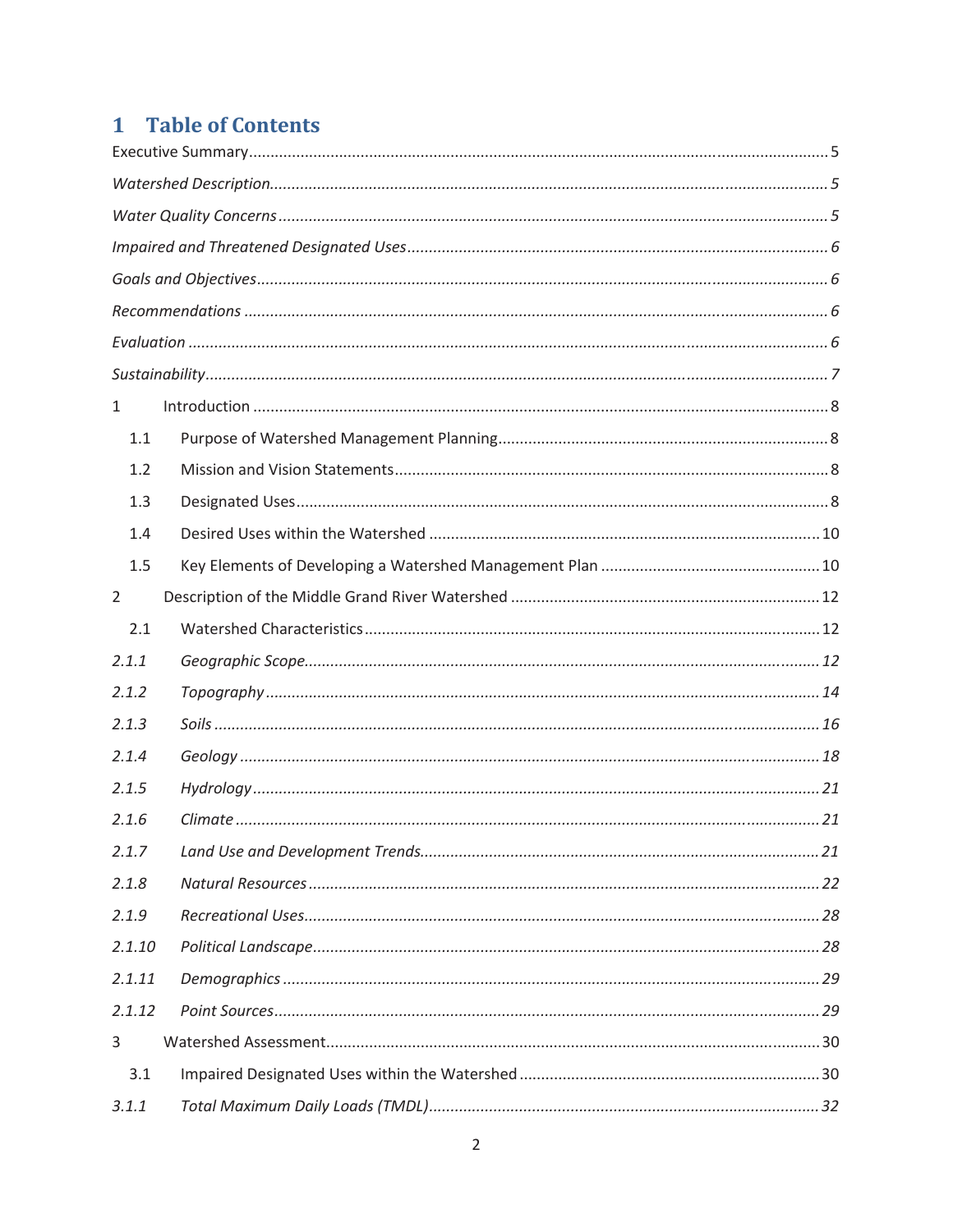# 1 Table of Contents

| 1              |  |  |  |  |
|----------------|--|--|--|--|
| 1.1            |  |  |  |  |
| 1.2            |  |  |  |  |
| 1.3            |  |  |  |  |
| 1.4            |  |  |  |  |
| 1.5            |  |  |  |  |
| $\overline{2}$ |  |  |  |  |
| 2.1            |  |  |  |  |
| 2.1.1          |  |  |  |  |
| 2.1.2          |  |  |  |  |
| 2.1.3          |  |  |  |  |
| 2.1.4          |  |  |  |  |
| 2.1.5          |  |  |  |  |
| 2.1.6          |  |  |  |  |
| 2.1.7          |  |  |  |  |
| 2.1.8          |  |  |  |  |
| 2.1.9          |  |  |  |  |
| 2.1.10         |  |  |  |  |
| 2.1.11         |  |  |  |  |
| 2.1.12         |  |  |  |  |
| 3              |  |  |  |  |
| 3.1            |  |  |  |  |
| 3.1.1          |  |  |  |  |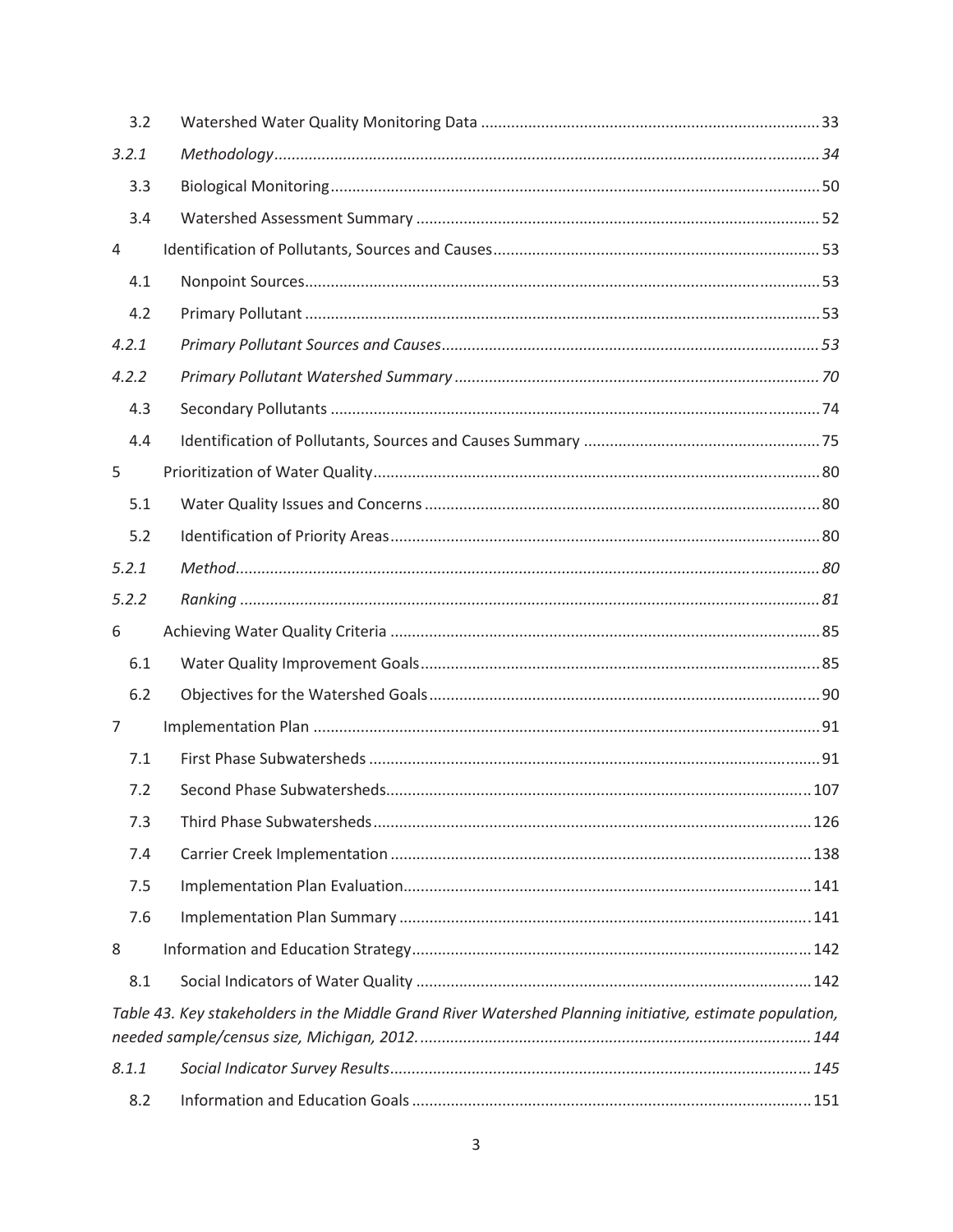| 3.2                                                                                                      |  |  |  |
|----------------------------------------------------------------------------------------------------------|--|--|--|
| 3.2.1                                                                                                    |  |  |  |
| 3.3                                                                                                      |  |  |  |
| 3.4                                                                                                      |  |  |  |
| 4                                                                                                        |  |  |  |
| 4.1                                                                                                      |  |  |  |
| 4.2                                                                                                      |  |  |  |
| 4.2.1                                                                                                    |  |  |  |
| 4.2.2                                                                                                    |  |  |  |
| 4.3                                                                                                      |  |  |  |
| 4.4                                                                                                      |  |  |  |
| 5                                                                                                        |  |  |  |
| 5.1                                                                                                      |  |  |  |
| 5.2                                                                                                      |  |  |  |
| 5.2.1                                                                                                    |  |  |  |
| 5.2.2                                                                                                    |  |  |  |
| 6                                                                                                        |  |  |  |
| 6.1                                                                                                      |  |  |  |
| 6.2                                                                                                      |  |  |  |
| 7                                                                                                        |  |  |  |
| 7.1                                                                                                      |  |  |  |
| 7.2                                                                                                      |  |  |  |
| 7.3                                                                                                      |  |  |  |
| 7.4                                                                                                      |  |  |  |
| 7.5                                                                                                      |  |  |  |
| 7.6                                                                                                      |  |  |  |
| 8                                                                                                        |  |  |  |
| 8.1                                                                                                      |  |  |  |
| Table 43. Key stakeholders in the Middle Grand River Watershed Planning initiative, estimate population, |  |  |  |
|                                                                                                          |  |  |  |
| 8.1.1                                                                                                    |  |  |  |
| 8.2                                                                                                      |  |  |  |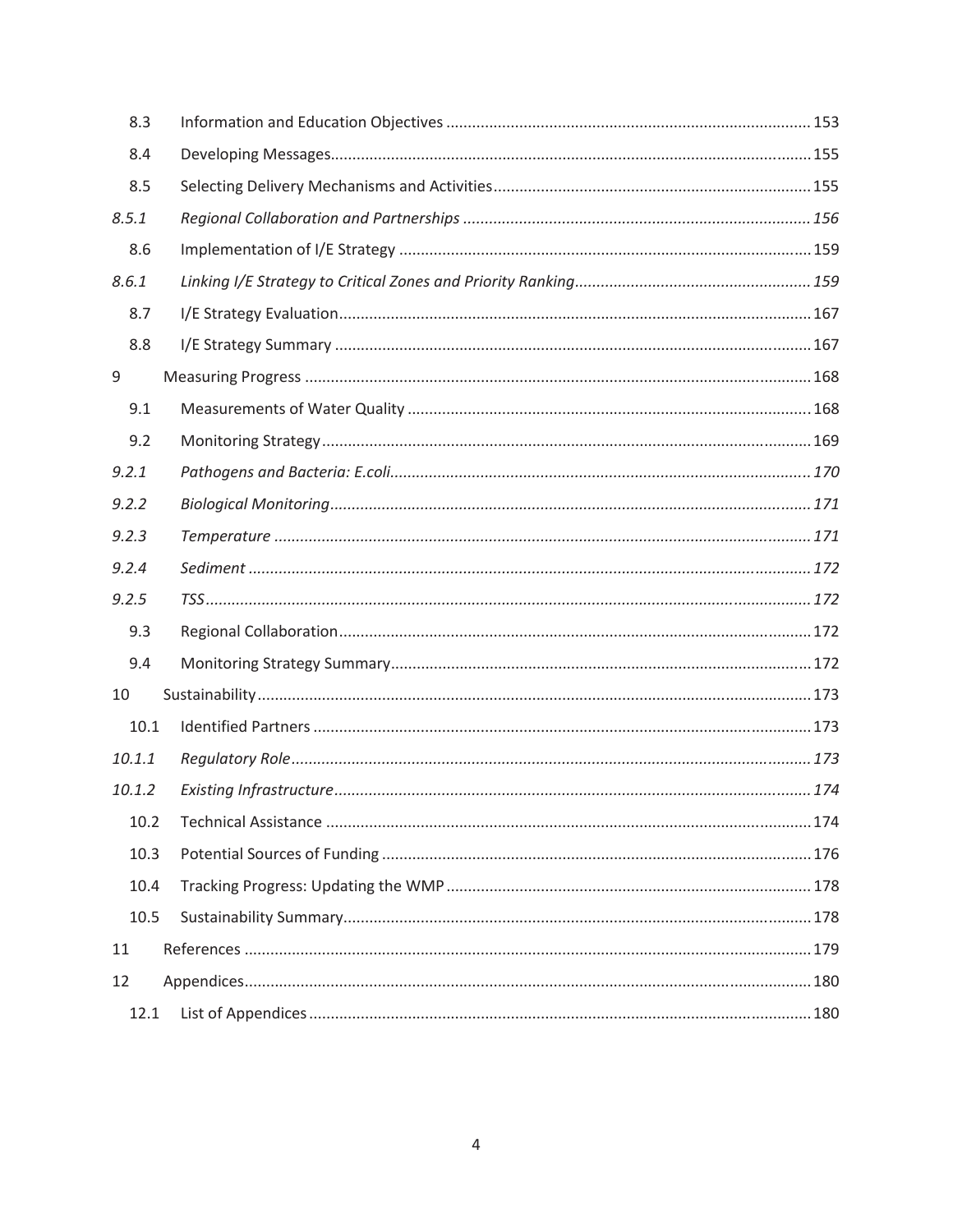| 8.3    |  |
|--------|--|
| 8.4    |  |
| 8.5    |  |
| 8.5.1  |  |
| 8.6    |  |
| 8.6.1  |  |
| 8.7    |  |
| 8.8    |  |
| 9      |  |
| 9.1    |  |
| 9.2    |  |
| 9.2.1  |  |
| 9.2.2  |  |
| 9.2.3  |  |
| 9.2.4  |  |
| 9.2.5  |  |
| 9.3    |  |
| 9.4    |  |
| 10     |  |
| 10.1   |  |
| 10.1.1 |  |
| 10.1.2 |  |
| 10.2   |  |
| 10.3   |  |
| 10.4   |  |
| 10.5   |  |
| 11     |  |
| 12     |  |
| 12.1   |  |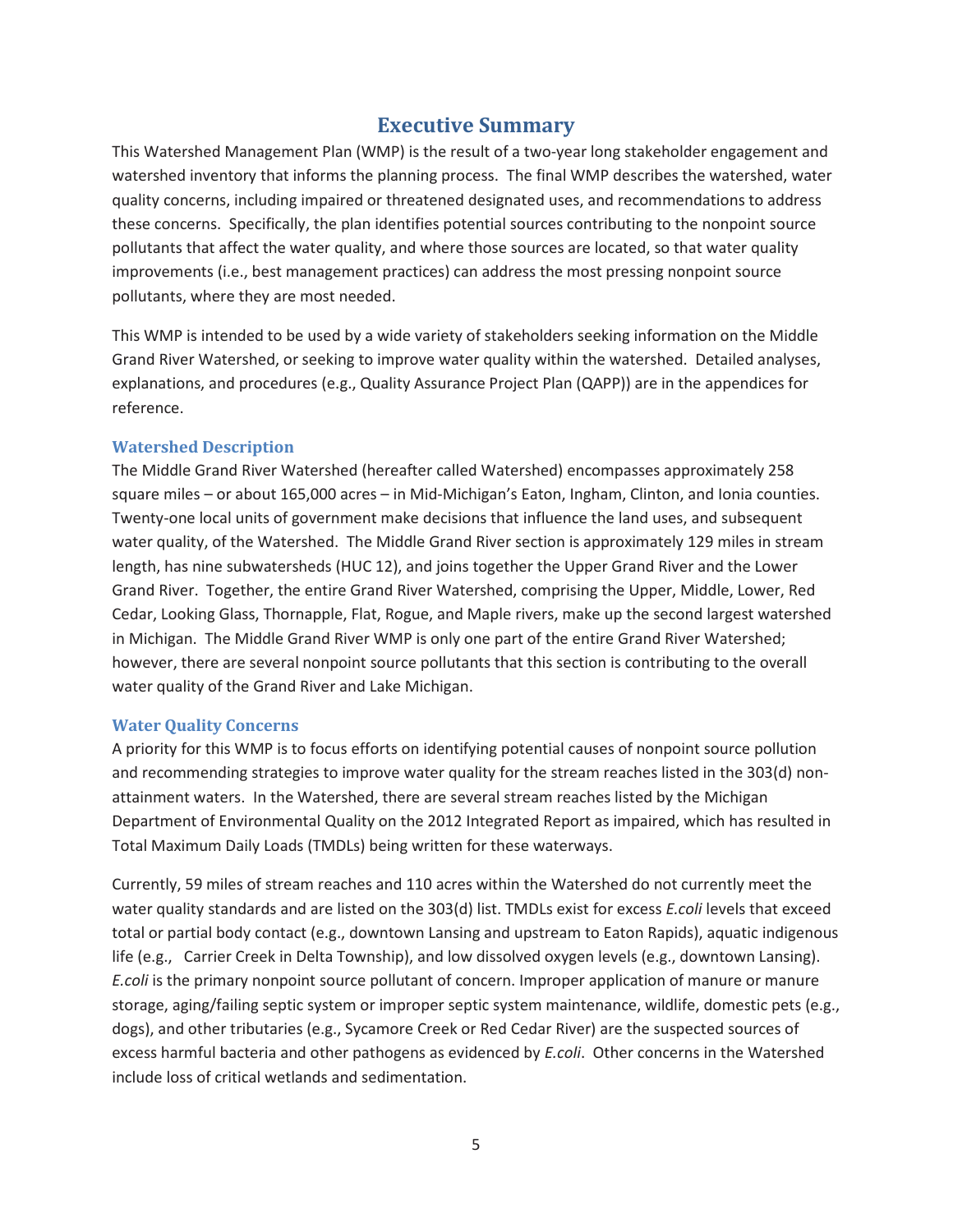# **Executive Summary**

This Watershed Management Plan (WMP) is the result of a two-year long stakeholder engagement and watershed inventory that informs the planning process. The final WMP describes the watershed, water quality concerns, including impaired or threatened designated uses, and recommendations to address these concerns. Specifically, the plan identifies potential sources contributing to the nonpoint source pollutants that affect the water quality, and where those sources are located, so that water quality improvements (i.e., best management practices) can address the most pressing nonpoint source pollutants, where they are most needed.

This WMP is intended to be used by a wide variety of stakeholders seeking information on the Middle Grand River Watershed, or seeking to improve water quality within the watershed. Detailed analyses, explanations, and procedures (e.g., Quality Assurance Project Plan (QAPP)) are in the appendices for reference.

#### **Watershed Description**

The Middle Grand River Watershed (hereafter called Watershed) encompasses approximately 258 square miles – or about 165,000 acres – in Mid-Michigan's Eaton, Ingham, Clinton, and Ionia counties. Twenty-one local units of government make decisions that influence the land uses, and subsequent water quality, of the Watershed. The Middle Grand River section is approximately 129 miles in stream length, has nine subwatersheds (HUC 12), and joins together the Upper Grand River and the Lower Grand River. Together, the entire Grand River Watershed, comprising the Upper, Middle, Lower, Red Cedar, Looking Glass, Thornapple, Flat, Rogue, and Maple rivers, make up the second largest watershed in Michigan. The Middle Grand River WMP is only one part of the entire Grand River Watershed; however, there are several nonpoint source pollutants that this section is contributing to the overall water quality of the Grand River and Lake Michigan.

#### **Water Quality Concerns**

A priority for this WMP is to focus efforts on identifying potential causes of nonpoint source pollution and recommending strategies to improve water quality for the stream reaches listed in the 303(d) nonattainment waters. In the Watershed, there are several stream reaches listed by the Michigan Department of Environmental Quality on the 2012 Integrated Report as impaired, which has resulted in Total Maximum Daily Loads (TMDLs) being written for these waterways.

Currently, 59 miles of stream reaches and 110 acres within the Watershed do not currently meet the water quality standards and are listed on the 303(d) list. TMDLs exist for excess *E.coli* levels that exceed total or partial body contact (e.g., downtown Lansing and upstream to Eaton Rapids), aquatic indigenous life (e.g., Carrier Creek in Delta Township), and low dissolved oxygen levels (e.g., downtown Lansing). *E.coli* is the primary nonpoint source pollutant of concern. Improper application of manure or manure storage, aging/failing septic system or improper septic system maintenance, wildlife, domestic pets (e.g., dogs), and other tributaries (e.g., Sycamore Creek or Red Cedar River) are the suspected sources of excess harmful bacteria and other pathogens as evidenced by *E.coli*. Other concerns in the Watershed include loss of critical wetlands and sedimentation.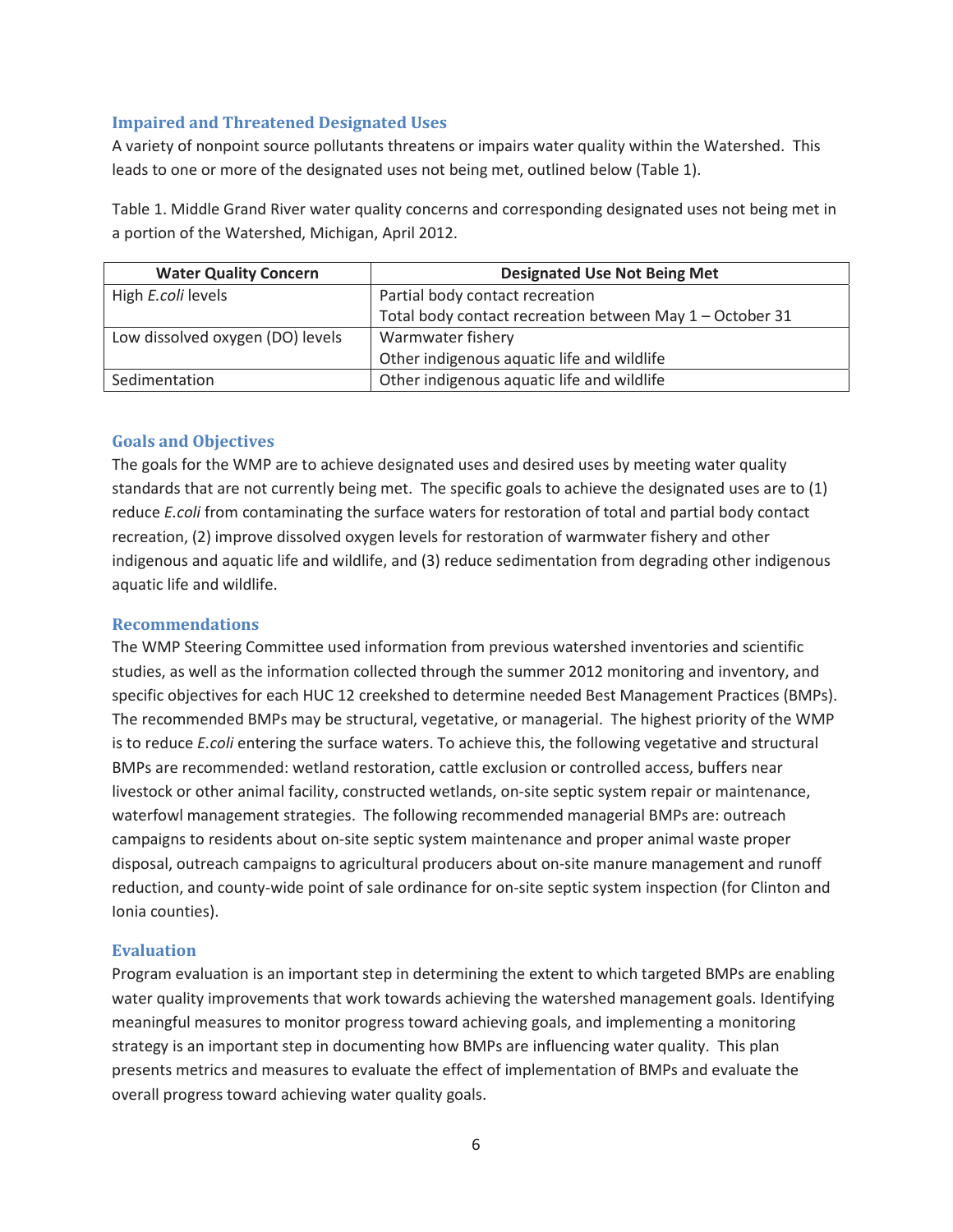#### **Impaired and Threatened Designated Uses**

A variety of nonpoint source pollutants threatens or impairs water quality within the Watershed. This leads to one or more of the designated uses not being met, outlined below (Table 1).

Table 1. Middle Grand River water quality concerns and corresponding designated uses not being met in a portion of the Watershed, Michigan, April 2012.

| <b>Water Quality Concern</b>     | <b>Designated Use Not Being Met</b>                      |
|----------------------------------|----------------------------------------------------------|
| High E.coli levels               | Partial body contact recreation                          |
|                                  | Total body contact recreation between May 1 - October 31 |
| Low dissolved oxygen (DO) levels | Warmwater fishery                                        |
|                                  | Other indigenous aquatic life and wildlife               |
| Sedimentation                    | Other indigenous aquatic life and wildlife               |

#### **Goals and Objectives**

The goals for the WMP are to achieve designated uses and desired uses by meeting water quality standards that are not currently being met. The specific goals to achieve the designated uses are to (1) reduce *E.coli* from contaminating the surface waters for restoration of total and partial body contact recreation, (2) improve dissolved oxygen levels for restoration of warmwater fishery and other indigenous and aquatic life and wildlife, and (3) reduce sedimentation from degrading other indigenous aquatic life and wildlife.

#### **Recommendations**

The WMP Steering Committee used information from previous watershed inventories and scientific studies, as well as the information collected through the summer 2012 monitoring and inventory, and specific objectives for each HUC 12 creekshed to determine needed Best Management Practices (BMPs). The recommended BMPs may be structural, vegetative, or managerial. The highest priority of the WMP is to reduce *E.coli* entering the surface waters. To achieve this, the following vegetative and structural BMPs are recommended: wetland restoration, cattle exclusion or controlled access, buffers near livestock or other animal facility, constructed wetlands, on-site septic system repair or maintenance, waterfowl management strategies. The following recommended managerial BMPs are: outreach campaigns to residents about on-site septic system maintenance and proper animal waste proper disposal, outreach campaigns to agricultural producers about on-site manure management and runoff reduction, and county-wide point of sale ordinance for on-site septic system inspection (for Clinton and Ionia counties).

#### **Evaluation**

Program evaluation is an important step in determining the extent to which targeted BMPs are enabling water quality improvements that work towards achieving the watershed management goals. Identifying meaningful measures to monitor progress toward achieving goals, and implementing a monitoring strategy is an important step in documenting how BMPs are influencing water quality. This plan presents metrics and measures to evaluate the effect of implementation of BMPs and evaluate the overall progress toward achieving water quality goals.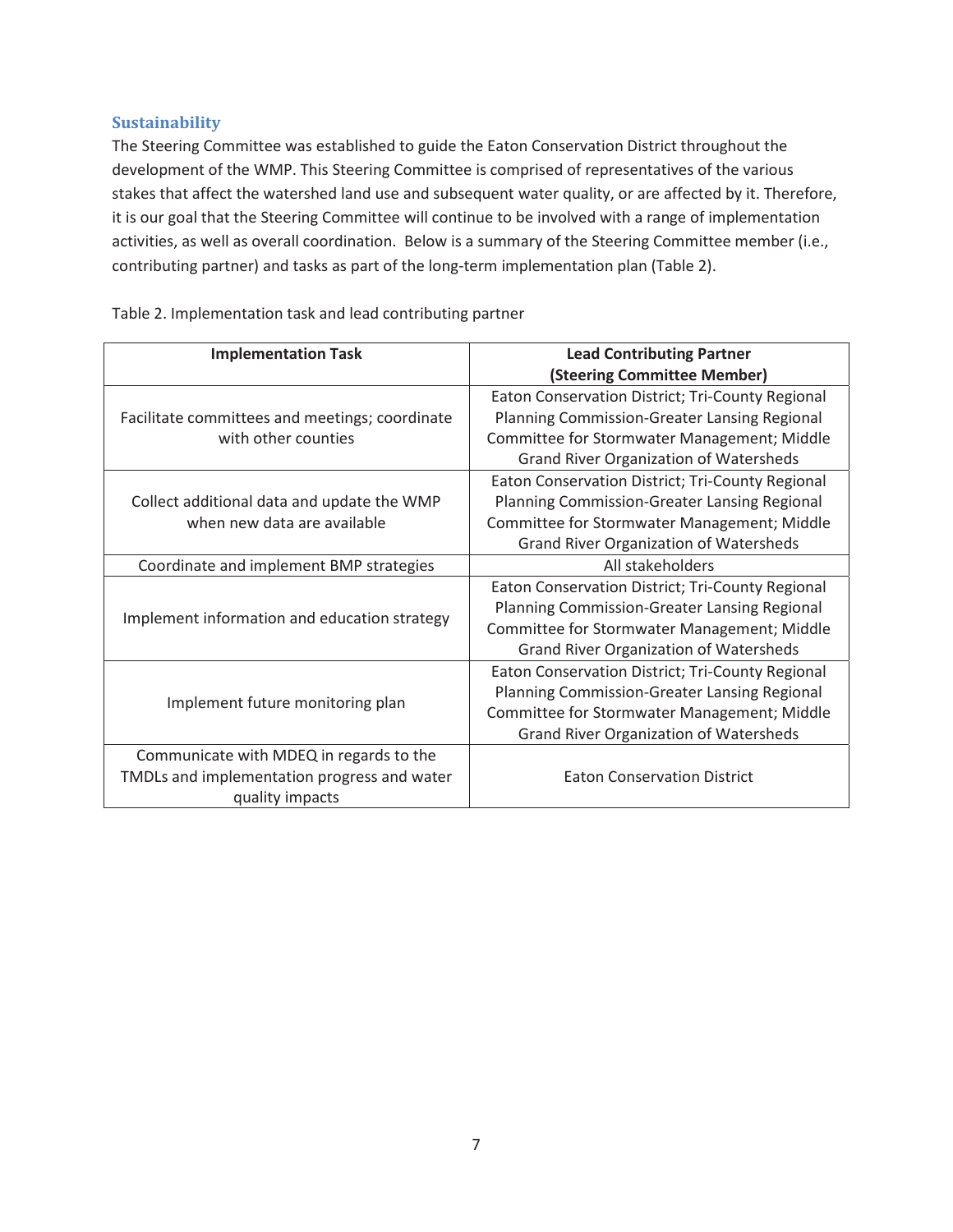#### **Sustainability**

The Steering Committee was established to guide the Eaton Conservation District throughout the development of the WMP. This Steering Committee is comprised of representatives of the various stakes that affect the watershed land use and subsequent water quality, or are affected by it. Therefore, it is our goal that the Steering Committee will continue to be involved with a range of implementation activities, as well as overall coordination. Below is a summary of the Steering Committee member (i.e., contributing partner) and tasks as part of the long-term implementation plan (Table 2).

| <b>Implementation Task</b>                     | <b>Lead Contributing Partner</b>                 |  |
|------------------------------------------------|--------------------------------------------------|--|
|                                                | (Steering Committee Member)                      |  |
|                                                | Eaton Conservation District; Tri-County Regional |  |
| Facilitate committees and meetings; coordinate | Planning Commission-Greater Lansing Regional     |  |
| with other counties                            | Committee for Stormwater Management; Middle      |  |
|                                                | <b>Grand River Organization of Watersheds</b>    |  |
|                                                | Eaton Conservation District; Tri-County Regional |  |
| Collect additional data and update the WMP     | Planning Commission-Greater Lansing Regional     |  |
| when new data are available                    | Committee for Stormwater Management; Middle      |  |
|                                                | <b>Grand River Organization of Watersheds</b>    |  |
| Coordinate and implement BMP strategies        | All stakeholders                                 |  |
|                                                | Eaton Conservation District; Tri-County Regional |  |
|                                                | Planning Commission-Greater Lansing Regional     |  |
| Implement information and education strategy   | Committee for Stormwater Management; Middle      |  |
|                                                | <b>Grand River Organization of Watersheds</b>    |  |
|                                                | Eaton Conservation District; Tri-County Regional |  |
|                                                | Planning Commission-Greater Lansing Regional     |  |
| Implement future monitoring plan               | Committee for Stormwater Management; Middle      |  |
|                                                | <b>Grand River Organization of Watersheds</b>    |  |
| Communicate with MDEQ in regards to the        |                                                  |  |
| TMDLs and implementation progress and water    | <b>Eaton Conservation District</b>               |  |
| quality impacts                                |                                                  |  |

Table 2. Implementation task and lead contributing partner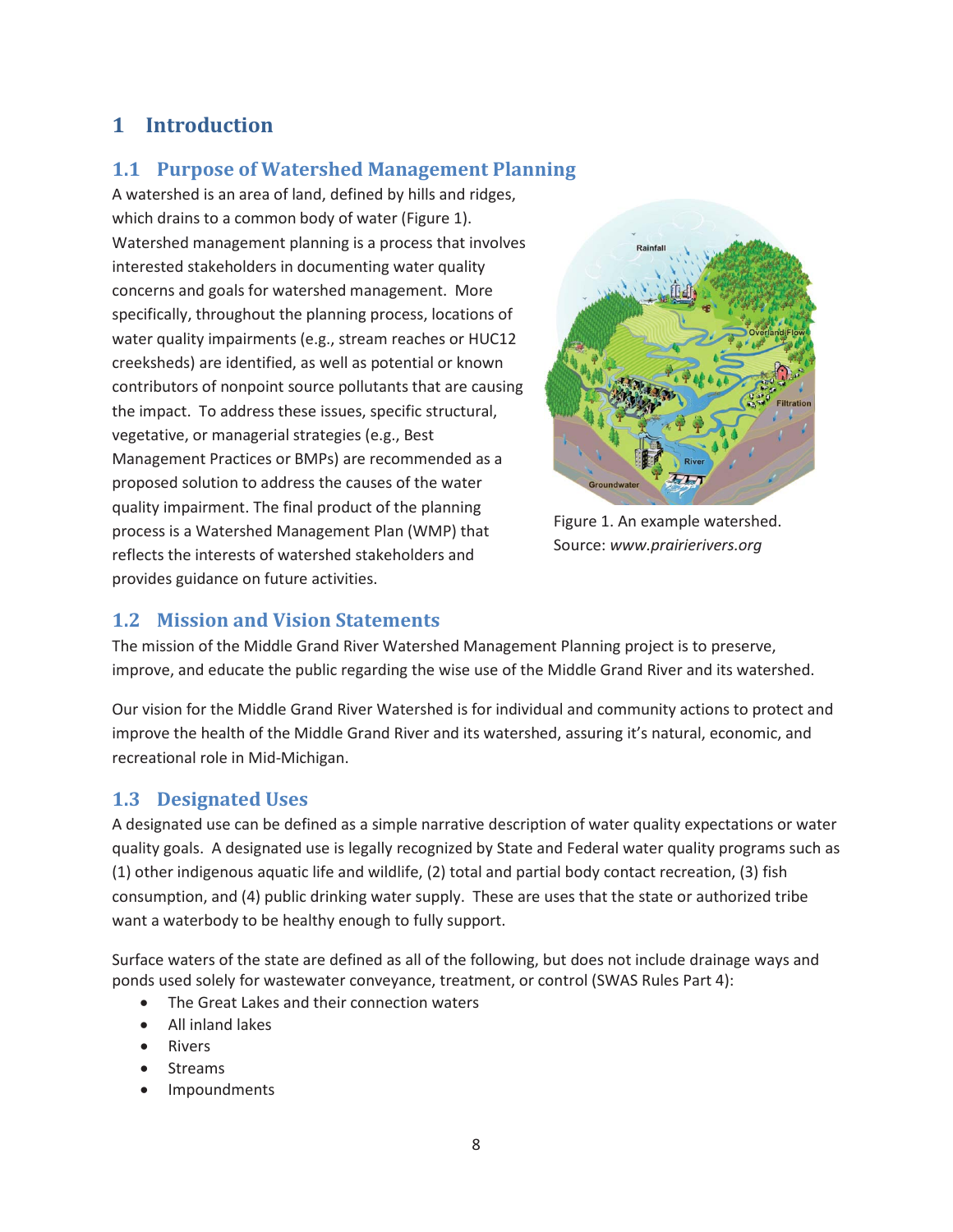# **1 Introduction**

# **1.1 Purpose of Watershed Management Planning**

A watershed is an area of land, defined by hills and ridges, which drains to a common body of water (Figure 1). Watershed management planning is a process that involves interested stakeholders in documenting water quality concerns and goals for watershed management. More specifically, throughout the planning process, locations of water quality impairments (e.g., stream reaches or HUC12 creeksheds) are identified, as well as potential or known contributors of nonpoint source pollutants that are causing the impact. To address these issues, specific structural, vegetative, or managerial strategies (e.g., Best Management Practices or BMPs) are recommended as a proposed solution to address the causes of the water quality impairment. The final product of the planning process is a Watershed Management Plan (WMP) that reflects the interests of watershed stakeholders and provides guidance on future activities.



Figure 1. An example watershed. Source: *www.prairierivers.org* 

### **1.2 Mission and Vision Statements**

The mission of the Middle Grand River Watershed Management Planning project is to preserve, improve, and educate the public regarding the wise use of the Middle Grand River and its watershed.

Our vision for the Middle Grand River Watershed is for individual and community actions to protect and improve the health of the Middle Grand River and its watershed, assuring it's natural, economic, and recreational role in Mid-Michigan.

### **1.3 Designated Uses**

A designated use can be defined as a simple narrative description of water quality expectations or water quality goals. A designated use is legally recognized by State and Federal water quality programs such as (1) other indigenous aquatic life and wildlife, (2) total and partial body contact recreation, (3) fish consumption, and (4) public drinking water supply. These are uses that the state or authorized tribe want a waterbody to be healthy enough to fully support.

Surface waters of the state are defined as all of the following, but does not include drainage ways and ponds used solely for wastewater conveyance, treatment, or control (SWAS Rules Part 4):

- The Great Lakes and their connection waters
- x All inland lakes
- **Rivers**
- **Streams**
- **Impoundments**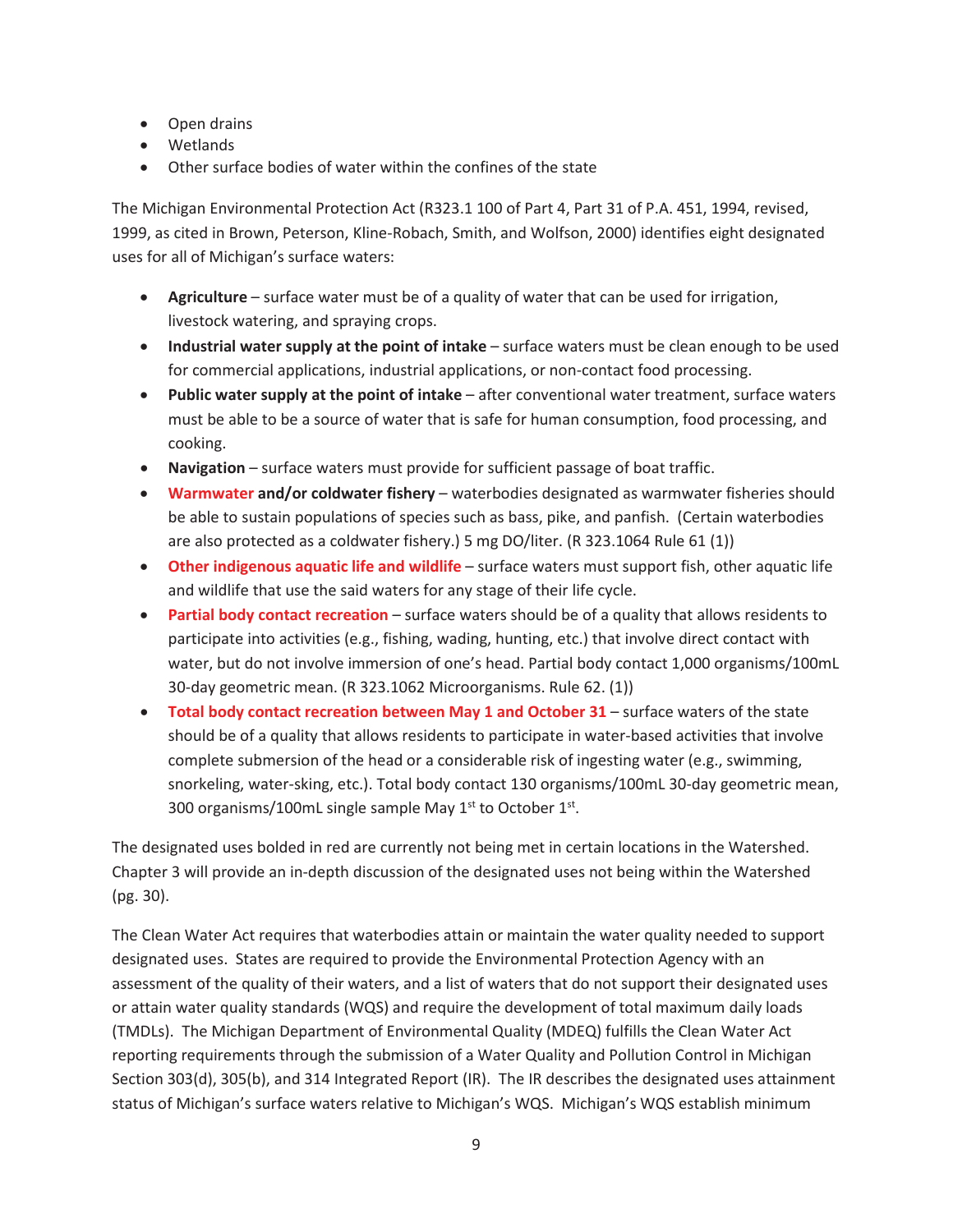- Open drains
- Wetlands
- Other surface bodies of water within the confines of the state

The Michigan Environmental Protection Act (R323.1 100 of Part 4, Part 31 of P.A. 451, 1994, revised, 1999, as cited in Brown, Peterson, Kline-Robach, Smith, and Wolfson, 2000) identifies eight designated uses for all of Michigan's surface waters:

- **Agriculture** surface water must be of a quality of water that can be used for irrigation, livestock watering, and spraying crops.
- **Industrial water supply at the point of intake** surface waters must be clean enough to be used for commercial applications, industrial applications, or non-contact food processing.
- **Public water supply at the point of intake** after conventional water treatment, surface waters must be able to be a source of water that is safe for human consumption, food processing, and cooking.
- **Navigation** surface waters must provide for sufficient passage of boat traffic.
- **Warmwater and/or coldwater fishery** waterbodies designated as warmwater fisheries should be able to sustain populations of species such as bass, pike, and panfish. (Certain waterbodies are also protected as a coldwater fishery.) 5 mg DO/liter. (R 323.1064 Rule 61 (1))
- **Other indigenous aquatic life and wildlife** surface waters must support fish, other aquatic life and wildlife that use the said waters for any stage of their life cycle.
- **Partial body contact recreation** surface waters should be of a quality that allows residents to participate into activities (e.g., fishing, wading, hunting, etc.) that involve direct contact with water, but do not involve immersion of one's head. Partial body contact 1,000 organisms/100mL 30-day geometric mean. (R 323.1062 Microorganisms. Rule 62. (1))
- **Total body contact recreation between May 1 and October 31** surface waters of the state should be of a quality that allows residents to participate in water-based activities that involve complete submersion of the head or a considerable risk of ingesting water (e.g., swimming, snorkeling, water-sking, etc.). Total body contact 130 organisms/100mL 30-day geometric mean, 300 organisms/100mL single sample May  $1^{st}$  to October  $1^{st}$ .

The designated uses bolded in red are currently not being met in certain locations in the Watershed. Chapter 3 will provide an in-depth discussion of the designated uses not being within the Watershed (pg. 30).

The Clean Water Act requires that waterbodies attain or maintain the water quality needed to support designated uses. States are required to provide the Environmental Protection Agency with an assessment of the quality of their waters, and a list of waters that do not support their designated uses or attain water quality standards (WQS) and require the development of total maximum daily loads (TMDLs). The Michigan Department of Environmental Quality (MDEQ) fulfills the Clean Water Act reporting requirements through the submission of a Water Quality and Pollution Control in Michigan Section 303(d), 305(b), and 314 Integrated Report (IR). The IR describes the designated uses attainment status of Michigan's surface waters relative to Michigan's WQS. Michigan's WQS establish minimum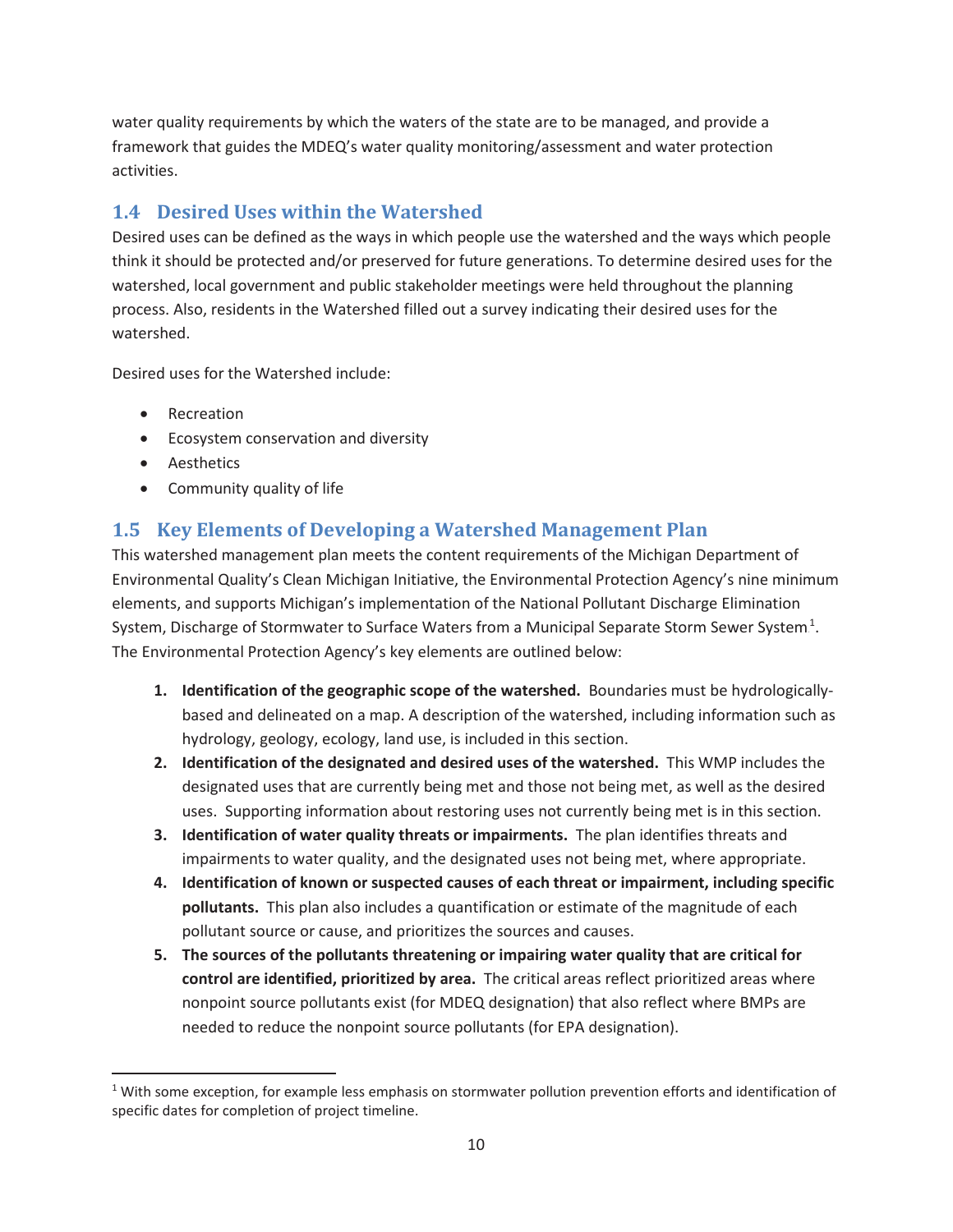water quality requirements by which the waters of the state are to be managed, and provide a framework that guides the MDEQ's water quality monitoring/assessment and water protection activities.

# **1.4 Desired Uses within the Watershed**

Desired uses can be defined as the ways in which people use the watershed and the ways which people think it should be protected and/or preserved for future generations. To determine desired uses for the watershed, local government and public stakeholder meetings were held throughout the planning process. Also, residents in the Watershed filled out a survey indicating their desired uses for the watershed.

Desired uses for the Watershed include:

- Recreation
- **•** Ecosystem conservation and diversity
- Aesthetics

 $\overline{a}$ 

• Community quality of life

# **1.5 Key Elements of Developing a Watershed Management Plan**

This watershed management plan meets the content requirements of the Michigan Department of Environmental Quality's Clean Michigan Initiative, the Environmental Protection Agency's nine minimum elements, and supports Michigan's implementation of the National Pollutant Discharge Elimination System, Discharge of Stormwater to Surface Waters from a Municipal Separate Storm Sewer System.<sup>1</sup>. The Environmental Protection Agency's key elements are outlined below:

- **1. Identification of the geographic scope of the watershed.** Boundaries must be hydrologicallybased and delineated on a map. A description of the watershed, including information such as hydrology, geology, ecology, land use, is included in this section.
- **2. Identification of the designated and desired uses of the watershed.** This WMP includes the designated uses that are currently being met and those not being met, as well as the desired uses. Supporting information about restoring uses not currently being met is in this section.
- **3. Identification of water quality threats or impairments.** The plan identifies threats and impairments to water quality, and the designated uses not being met, where appropriate.
- **4. Identification of known or suspected causes of each threat or impairment, including specific pollutants.** This plan also includes a quantification or estimate of the magnitude of each pollutant source or cause, and prioritizes the sources and causes.
- **5. The sources of the pollutants threatening or impairing water quality that are critical for control are identified, prioritized by area.** The critical areas reflect prioritized areas where nonpoint source pollutants exist (for MDEQ designation) that also reflect where BMPs are needed to reduce the nonpoint source pollutants (for EPA designation).

 $1$  With some exception, for example less emphasis on stormwater pollution prevention efforts and identification of specific dates for completion of project timeline.